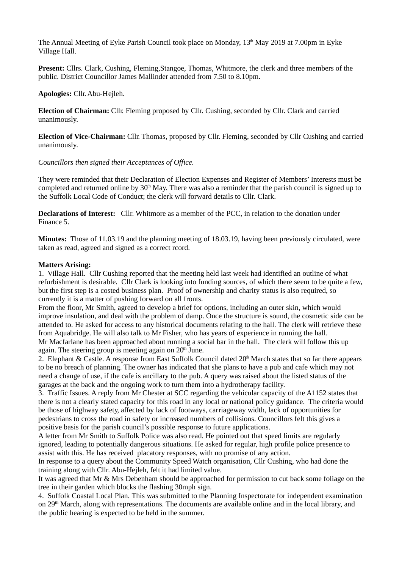The Annual Meeting of Eyke Parish Council took place on Monday, 13<sup>th</sup> May 2019 at 7.00pm in Eyke Village Hall.

**Present:** Cllrs. Clark, Cushing, Fleming,Stangoe, Thomas, Whitmore, the clerk and three members of the public. District Councillor James Mallinder attended from 7.50 to 8.10pm.

**Apologies:** Cllr. Abu-Hejleh.

**Election of Chairman:** Cllr. Fleming proposed by Cllr. Cushing, seconded by Cllr. Clark and carried unanimously.

**Election of Vice-Chairman:** Cllr. Thomas, proposed by Cllr. Fleming, seconded by Cllr Cushing and carried unanimously.

*Councillors then signed their Acceptances of Office.*

They were reminded that their Declaration of Election Expenses and Register of Members' Interests must be completed and returned online by  $30<sup>th</sup>$  May. There was also a reminder that the parish council is signed up to the Suffolk Local Code of Conduct; the clerk will forward details to Cllr. Clark.

**Declarations of Interest:** Cllr. Whitmore as a member of the PCC, in relation to the donation under Finance 5.

**Minutes:** Those of 11.03.19 and the planning meeting of 18.03.19, having been previously circulated, were taken as read, agreed and signed as a correct rcord.

### **Matters Arising:**

1. Village Hall. Cllr Cushing reported that the meeting held last week had identified an outline of what refurbishment is desirable. Cllr Clark is looking into funding sources, of which there seem to be quite a few, but the first step is a costed business plan. Proof of ownership and charity status is also required, so currently it is a matter of pushing forward on all fronts.

From the floor, Mr Smith, agreed to develop a brief for options, including an outer skin, which would improve insulation, and deal with the problem of damp. Once the structure is sound, the cosmetic side can be attended to. He asked for access to any historical documents relating to the hall. The clerk will retrieve these from Aquabridge. He will also talk to Mr Fisher, who has years of experience in running the hall. Mr Macfarlane has been approached about running a social bar in the hall. The clerk will follow this up again. The steering group is meeting again on  $20<sup>th</sup>$  June.

2. Elephant & Castle. A response from East Suffolk Council dated  $20<sup>th</sup>$  March states that so far there appears to be no breach of planning. The owner has indicated that she plans to have a pub and cafe which may not need a change of use, if the cafe is ancillary to the pub. A query was raised about the listed status of the garages at the back and the ongoing work to turn them into a hydrotherapy facility.

3. Traffic Issues. A reply from Mr Chester at SCC regarding the vehicular capacity of the A1152 states that there is not a clearly stated capacity for this road in any local or national policy guidance. The criteria would be those of highway safety, affected by lack of footways, carriageway width, lack of opportunities for pedestrians to cross the road in safety or increased numbers of collisions. Councillors felt this gives a positive basis for the parish council's possible response to future applications.

A letter from Mr Smith to Suffolk Police was also read. He pointed out that speed limits are regularly ignored, leading to potentially dangerous situations. He asked for regular, high profile police presence to assist with this. He has received placatory responses, with no promise of any action.

In response to a query about the Community Speed Watch organisation, Cllr Cushing, who had done the training along with Cllr. Abu-Hejleh, felt it had limited value.

It was agreed that Mr & Mrs Debenham should be approached for permission to cut back some foliage on the tree in their garden which blocks the flashing 30mph sign.

4. Suffolk Coastal Local Plan. This was submitted to the Planning Inspectorate for independent examination on  $29<sup>th</sup>$  March, along with representations. The documents are available online and in the local library, and the public hearing is expected to be held in the summer.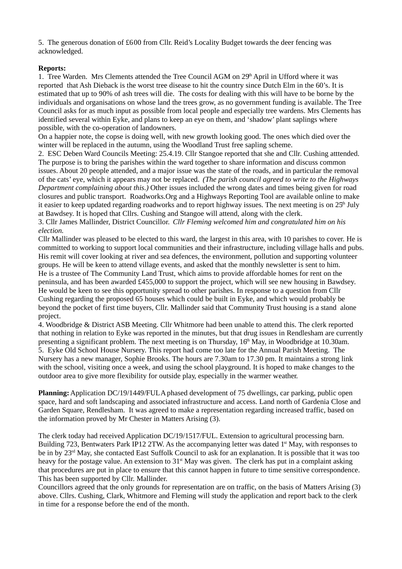5. The generous donation of £600 from Cllr. Reid's Locality Budget towards the deer fencing was acknowledged.

# **Reports:**

1. Tree Warden. Mrs Clements attended the Tree Council AGM on  $29<sup>th</sup>$  April in Ufford where it was reported that Ash Dieback is the worst tree disease to hit the country since Dutch Elm in the 60's. It is estimated that up to 90% of ash trees will die. The costs for dealing with this will have to be borne by the individuals and organisations on whose land the trees grow, as no government funding is available. The Tree Council asks for as much input as possible from local people and especially tree wardens. Mrs Clements has identified several within Eyke, and plans to keep an eye on them, and 'shadow' plant saplings where possible, with the co-operation of landowners.

On a happier note, the copse is doing well, with new growth looking good. The ones which died over the winter will be replaced in the autumn, using the Woodland Trust free sapling scheme.

2. ESC Deben Ward Councils Meeting: 25.4.19. Cllr Stangoe reported that she and Cllr. Cushing atttended. The purpose is to bring the parishes within the ward together to share information and discuss common issues. About 20 people attended, and a major issue was the state of the roads, and in particular the removal of the cats' eye, which it appears may not be replaced. *(The parish council agreed to write to the Highways Department complaining about this.)* Other issues included the wrong dates and times being given for road closures and public transport. Roadworks.Org and a Highways Reporting Tool are available online to make it easier to keep updated regarding roadworks and to report highway issues. The next meeting is on  $25<sup>h</sup>$  July at Bawdsey. It is hoped that Cllrs. Cushing and Stangoe will attend, along with the clerk.

3. Cllr James Mallinder, District Councillor. *Cllr Fleming welcomed him and congratulated him on his election.*

Cllr Mallinder was pleased to be elected to this ward, the largest in this area, with 10 parishes to cover. He is committed to working to support local communities and their infrastructure, including village halls and pubs. His remit will cover looking at river and sea defences, the environment, pollution and supporting volunteer groups. He will be keen to attend village events, and asked that the monthly newsletter is sent to him. He is a trustee of The Community Land Trust, which aims to provide affordable homes for rent on the peninsula, and has been awarded £455,000 to support the project, which will see new housing in Bawdsey. He would be keen to see this opportunity spread to other parishes. In response to a question from Cllr Cushing regarding the proposed 65 houses which could be built in Eyke, and which would probably be beyond the pocket of first time buyers, Cllr. Mallinder said that Community Trust housing is a stand alone project.

4. Woodbridge & District ASB Meeting. Cllr Whitmore had been unable to attend this. The clerk reported that nothing in relation to Eyke was reported in the minutes, but that drug issues in Rendlesham are currently presenting a significant problem. The next meeting is on Thursday,  $16<sup>th</sup>$  May, in Woodbridge at 10.30am. 5. Eyke Old School House Nursery. This report had come too late for the Annual Parish Meeting. The Nursery has a new manager, Sophie Brooks. The hours are 7.30am to 17.30 pm. It maintains a strong link with the school, visiting once a week, and using the school playground. It is hoped to make changes to the outdoor area to give more flexibility for outside play, especially in the warmer weather.

**Planning:** Application DC/19/1449/FUL A phased development of 75 dwellings, car parking, public open space, hard and soft landscaping and associated infrastructure and access. Land north of Gardenia Close and Garden Square, Rendlesham. It was agreed to make a representation regarding increased traffic, based on the information proved by Mr Chester in Matters Arising (3).

The clerk today had received Application DC/19/1517/FUL. Extension to agricultural processing barn. Building 723, Bentwaters Park IP12 2TW. As the accompanying letter was dated 1<sup>st</sup> May, with responses to be in by 23<sup>rd</sup> May, she contacted East Suffolk Council to ask for an explanation. It is possible that it was too heavy for the postage value. An extension to 31<sup>st</sup> May was given. The clerk has put in a complaint asking that procedures are put in place to ensure that this cannot happen in future to time sensitive correspondence. This has been supported by Cllr. Mallinder.

Councillors agreed that the only grounds for representation are on traffic, on the basis of Matters Arising (3) above. Cllrs. Cushing, Clark, Whitmore and Fleming will study the application and report back to the clerk in time for a response before the end of the month.